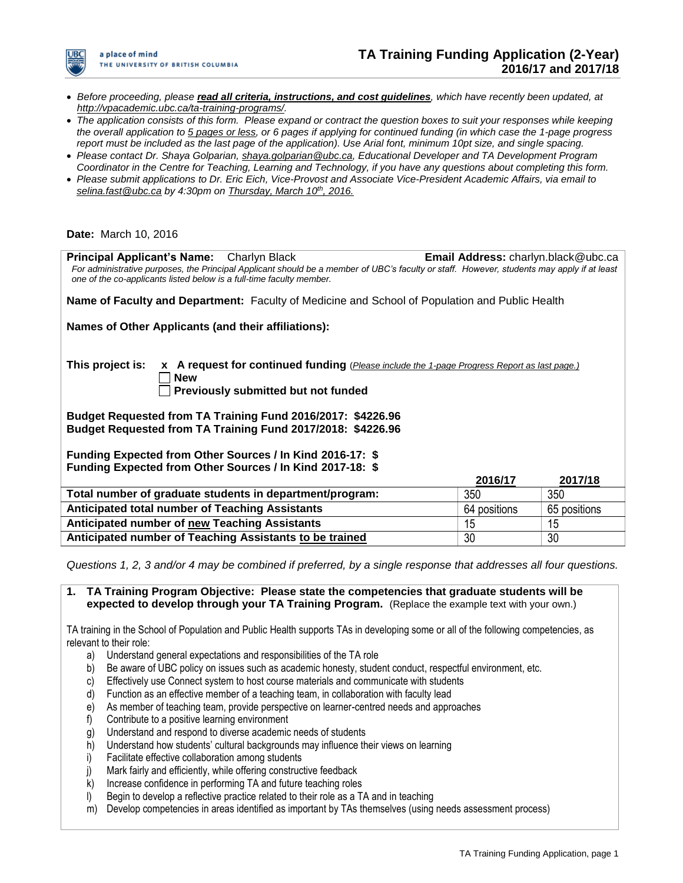

- *Before proceeding, please read all criteria, instructions, and cost guidelines, which have recently been updated, at [http://vpacademic.ubc.ca/ta-training-programs/.](http://vpacademic.ubc.ca/ta-training-programs/)*
- *The application consists of this form. Please expand or contract the question boxes to suit your responses while keeping the overall application to 5 pages or less, or 6 pages if applying for continued funding (in which case the 1-page progress report must be included as the last page of the application). Use Arial font, minimum 10pt size, and single spacing.*
- *Please contact Dr. Shaya Golparian, [shaya.golparian@ubc.ca,](mailto:shaya.golparian@ubc.ca) Educational Developer and TA Development Program Coordinator in the Centre for Teaching, Learning and Technology, if you have any questions about completing this form.*
- *Please submit applications to Dr. Eric Eich, Vice-Provost and Associate Vice-President Academic Affairs, via email to [selina.fast@ubc.ca](mailto:selina.fast@ubc.ca) by 4:30pm on Thursday, March 10th, 2016.*

#### **Date:** March 10, 2016

| <b>Principal Applicant's Name:</b> Charlyn Black<br>For administrative purposes, the Principal Applicant should be a member of UBC's faculty or staff. However, students may apply if at least<br>one of the co-applicants listed below is a full-time faculty member. | <b>Email Address:</b> charlyn.black@ubc.ca |              |
|------------------------------------------------------------------------------------------------------------------------------------------------------------------------------------------------------------------------------------------------------------------------|--------------------------------------------|--------------|
| Name of Faculty and Department: Faculty of Medicine and School of Population and Public Health                                                                                                                                                                         |                                            |              |
| Names of Other Applicants (and their affiliations):                                                                                                                                                                                                                    |                                            |              |
| This project is:<br>x A request for continued funding (Please include the 1-page Progress Report as last page.)<br><b>New</b><br><b>Previously submitted but not funded</b>                                                                                            |                                            |              |
| Budget Requested from TA Training Fund 2016/2017: \$4226.96<br>Budget Requested from TA Training Fund 2017/2018: \$4226.96                                                                                                                                             |                                            |              |
| Funding Expected from Other Sources / In Kind 2016-17: \$                                                                                                                                                                                                              |                                            |              |
| Funding Expected from Other Sources / In Kind 2017-18: \$                                                                                                                                                                                                              | 2016/17                                    | 2017/18      |
| Total number of graduate students in department/program:                                                                                                                                                                                                               | 350                                        | 350          |
| Anticipated total number of Teaching Assistants                                                                                                                                                                                                                        | 64 positions                               | 65 positions |
| Anticipated number of new Teaching Assistants                                                                                                                                                                                                                          | 15                                         | 15           |
| Anticipated number of Teaching Assistants to be trained                                                                                                                                                                                                                | 30                                         | 30           |

*Questions 1, 2, 3 and/or 4 may be combined if preferred, by a single response that addresses all four questions.* 

**1. TA Training Program Objective: Please state the competencies that graduate students will be expected to develop through your TA Training Program.** (Replace the example text with your own.)

TA training in the School of Population and Public Health supports TAs in developing some or all of the following competencies, as relevant to their role:

- a) Understand general expectations and responsibilities of the TA role
- b) Be aware of UBC policy on issues such as academic honesty, student conduct, respectful environment, etc.
- c) Effectively use Connect system to host course materials and communicate with students
- d) Function as an effective member of a teaching team, in collaboration with faculty lead
- e) As member of teaching team, provide perspective on learner-centred needs and approaches
- f) Contribute to a positive learning environment
- g) Understand and respond to diverse academic needs of students
- h) Understand how students' cultural backgrounds may influence their views on learning
- i) Facilitate effective collaboration among students
- j) Mark fairly and efficiently, while offering constructive feedback
- k) Increase confidence in performing TA and future teaching roles
- l) Begin to develop a reflective practice related to their role as a TA and in teaching
- m) Develop competencies in areas identified as important by TAs themselves (using needs assessment process)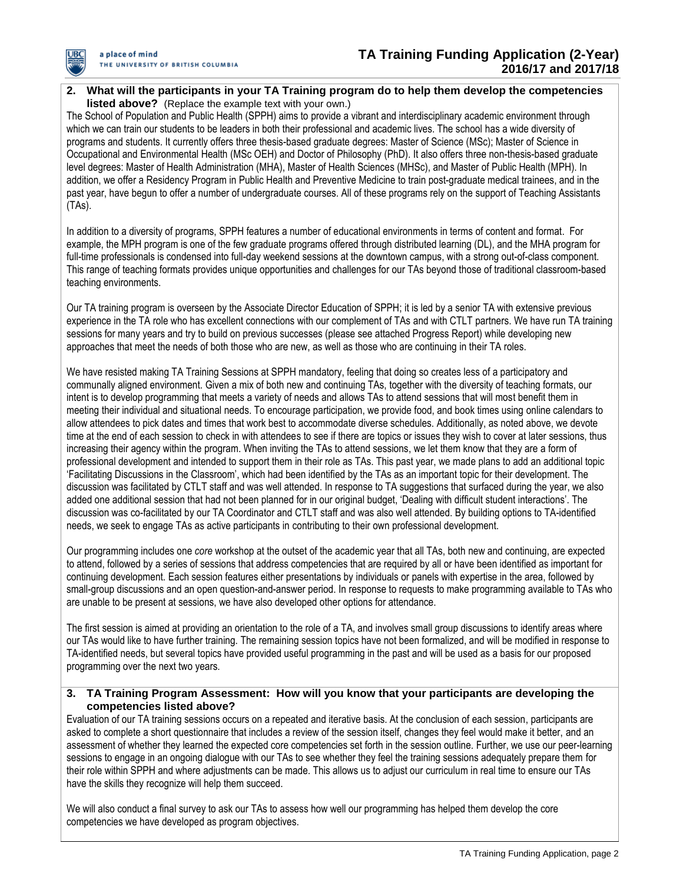

## **2. What will the participants in your TA Training program do to help them develop the competencies listed above?** (Replace the example text with your own.)

The School of Population and Public Health (SPPH) aims to provide a vibrant and interdisciplinary academic environment through which we can train our students to be leaders in both their professional and academic lives. The school has a wide diversity of programs and students. It currently offers three thesis-based graduate degrees: Master of Science (MSc); Master of Science in Occupational and Environmental Health (MSc OEH) and Doctor of Philosophy (PhD). It also offers three non-thesis-based graduate level degrees: Master of Health Administration (MHA), Master of Health Sciences (MHSc), and Master of Public Health (MPH). In addition, we offer a Residency Program in Public Health and Preventive Medicine to train post-graduate medical trainees, and in the past year, have begun to offer a number of undergraduate courses. All of these programs rely on the support of Teaching Assistants (TAs).

In addition to a diversity of programs, SPPH features a number of educational environments in terms of content and format. For example, the MPH program is one of the few graduate programs offered through distributed learning (DL), and the MHA program for full-time professionals is condensed into full-day weekend sessions at the downtown campus, with a strong out-of-class component. This range of teaching formats provides unique opportunities and challenges for our TAs beyond those of traditional classroom-based teaching environments.

Our TA training program is overseen by the Associate Director Education of SPPH; it is led by a senior TA with extensive previous experience in the TA role who has excellent connections with our complement of TAs and with CTLT partners. We have run TA training sessions for many years and try to build on previous successes (please see attached Progress Report) while developing new approaches that meet the needs of both those who are new, as well as those who are continuing in their TA roles.

We have resisted making TA Training Sessions at SPPH mandatory, feeling that doing so creates less of a participatory and communally aligned environment. Given a mix of both new and continuing TAs, together with the diversity of teaching formats, our intent is to develop programming that meets a variety of needs and allows TAs to attend sessions that will most benefit them in meeting their individual and situational needs. To encourage participation, we provide food, and book times using online calendars to allow attendees to pick dates and times that work best to accommodate diverse schedules. Additionally, as noted above, we devote time at the end of each session to check in with attendees to see if there are topics or issues they wish to cover at later sessions, thus increasing their agency within the program. When inviting the TAs to attend sessions, we let them know that they are a form of professional development and intended to support them in their role as TAs. This past year, we made plans to add an additional topic 'Facilitating Discussions in the Classroom', which had been identified by the TAs as an important topic for their development. The discussion was facilitated by CTLT staff and was well attended. In response to TA suggestions that surfaced during the year, we also added one additional session that had not been planned for in our original budget, 'Dealing with difficult student interactions'. The discussion was co-facilitated by our TA Coordinator and CTLT staff and was also well attended. By building options to TA-identified needs, we seek to engage TAs as active participants in contributing to their own professional development.

Our programming includes one *core* workshop at the outset of the academic year that all TAs, both new and continuing, are expected to attend, followed by a series of sessions that address competencies that are required by all or have been identified as important for continuing development. Each session features either presentations by individuals or panels with expertise in the area, followed by small-group discussions and an open question-and-answer period. In response to requests to make programming available to TAs who are unable to be present at sessions, we have also developed other options for attendance.

The first session is aimed at providing an orientation to the role of a TA, and involves small group discussions to identify areas where our TAs would like to have further training. The remaining session topics have not been formalized, and will be modified in response to TA-identified needs, but several topics have provided useful programming in the past and will be used as a basis for our proposed programming over the next two years.

## **3. TA Training Program Assessment: How will you know that your participants are developing the competencies listed above?**

Evaluation of our TA training sessions occurs on a repeated and iterative basis. At the conclusion of each session, participants are asked to complete a short questionnaire that includes a review of the session itself, changes they feel would make it better, and an assessment of whether they learned the expected core competencies set forth in the session outline. Further, we use our peer-learning sessions to engage in an ongoing dialogue with our TAs to see whether they feel the training sessions adequately prepare them for their role within SPPH and where adjustments can be made. This allows us to adjust our curriculum in real time to ensure our TAs have the skills they recognize will help them succeed.

We will also conduct a final survey to ask our TAs to assess how well our programming has helped them develop the core competencies we have developed as program objectives.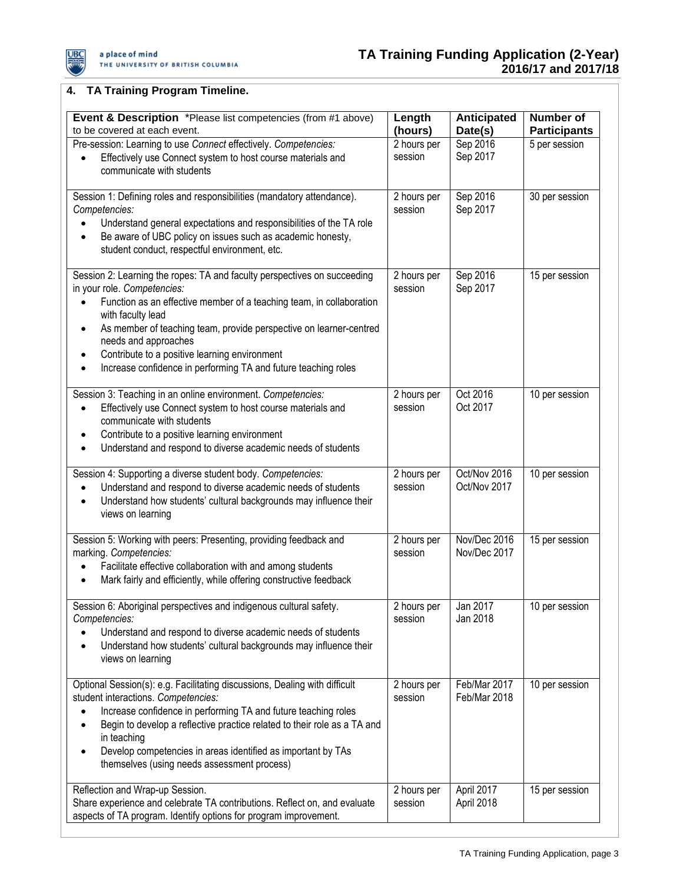

# **4. TA Training Program Timeline.**

| Event & Description *Please list competencies (from #1 above)<br>to be covered at each event.                                                                                                                                                                                                                                                                                                                                                                | Length<br>(hours)      | Anticipated<br>Date(s)       | Number of<br><b>Participants</b> |
|--------------------------------------------------------------------------------------------------------------------------------------------------------------------------------------------------------------------------------------------------------------------------------------------------------------------------------------------------------------------------------------------------------------------------------------------------------------|------------------------|------------------------------|----------------------------------|
| Pre-session: Learning to use Connect effectively. Competencies:<br>Effectively use Connect system to host course materials and<br>communicate with students                                                                                                                                                                                                                                                                                                  | 2 hours per<br>session | Sep 2016<br>Sep 2017         | 5 per session                    |
| Session 1: Defining roles and responsibilities (mandatory attendance).<br>Competencies:<br>Understand general expectations and responsibilities of the TA role<br>Be aware of UBC policy on issues such as academic honesty,<br>student conduct, respectful environment, etc.                                                                                                                                                                                | 2 hours per<br>session | Sep 2016<br>Sep 2017         | 30 per session                   |
| Session 2: Learning the ropes: TA and faculty perspectives on succeeding<br>in your role. Competencies:<br>Function as an effective member of a teaching team, in collaboration<br>with faculty lead<br>As member of teaching team, provide perspective on learner-centred<br>$\bullet$<br>needs and approaches<br>Contribute to a positive learning environment<br>$\bullet$<br>Increase confidence in performing TA and future teaching roles<br>$\bullet$ | 2 hours per<br>session | Sep 2016<br>Sep 2017         | 15 per session                   |
| Session 3: Teaching in an online environment. Competencies:<br>Effectively use Connect system to host course materials and<br>$\bullet$<br>communicate with students<br>Contribute to a positive learning environment<br>٠<br>Understand and respond to diverse academic needs of students                                                                                                                                                                   | 2 hours per<br>session | Oct 2016<br>Oct 2017         | 10 per session                   |
| Session 4: Supporting a diverse student body. Competencies:<br>Understand and respond to diverse academic needs of students<br>Understand how students' cultural backgrounds may influence their<br>$\bullet$<br>views on learning                                                                                                                                                                                                                           | 2 hours per<br>session | Oct/Nov 2016<br>Oct/Nov 2017 | 10 per session                   |
| Session 5: Working with peers: Presenting, providing feedback and<br>marking. Competencies:<br>Facilitate effective collaboration with and among students<br>Mark fairly and efficiently, while offering constructive feedback<br>$\bullet$                                                                                                                                                                                                                  | 2 hours per<br>session | Nov/Dec 2016<br>Nov/Dec 2017 | 15 per session                   |
| Session 6: Aboriginal perspectives and indigenous cultural safety.<br>Competencies:<br>Understand and respond to diverse academic needs of students<br>Understand how students' cultural backgrounds may influence their<br>views on learning                                                                                                                                                                                                                | 2 hours per<br>session | Jan 2017<br>Jan 2018         | 10 per session                   |
| Optional Session(s): e.g. Facilitating discussions, Dealing with difficult<br>student interactions. Competencies:<br>Increase confidence in performing TA and future teaching roles<br>Begin to develop a reflective practice related to their role as a TA and<br>in teaching<br>Develop competencies in areas identified as important by TAs<br>$\bullet$<br>themselves (using needs assessment process)                                                   | 2 hours per<br>session | Feb/Mar 2017<br>Feb/Mar 2018 | 10 per session                   |
| Reflection and Wrap-up Session.<br>Share experience and celebrate TA contributions. Reflect on, and evaluate<br>aspects of TA program. Identify options for program improvement.                                                                                                                                                                                                                                                                             | 2 hours per<br>session | April 2017<br>April 2018     | 15 per session                   |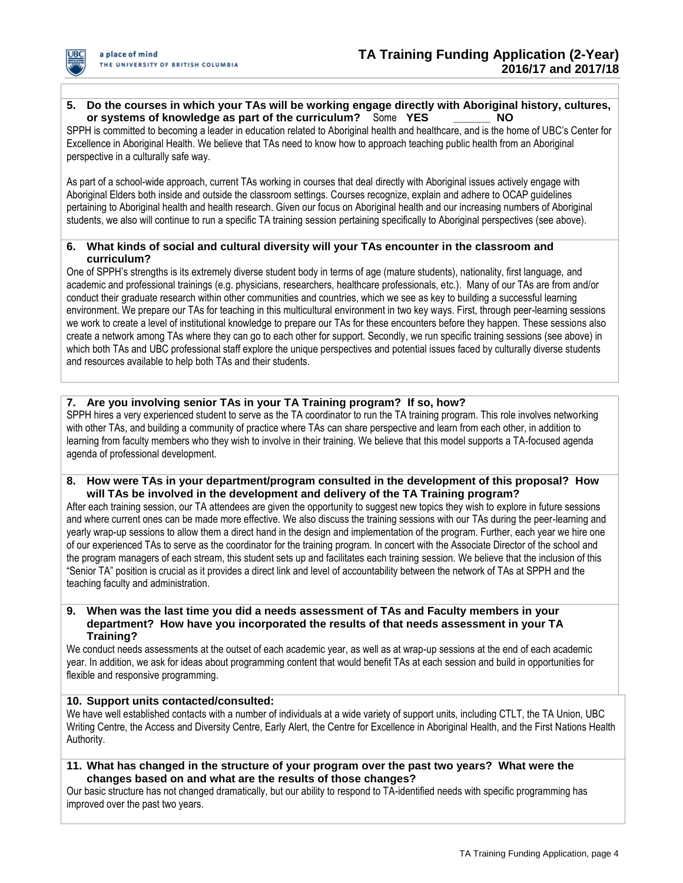

## **5. Do the courses in which your TAs will be working engage directly with Aboriginal history, cultures, or systems of knowledge as part of the curriculum?** Some **YES \_\_\_\_\_\_ NO**

SPPH is committed to becoming a leader in education related to Aboriginal health and healthcare, and is the home of UBC's Center for Excellence in Aboriginal Health. We believe that TAs need to know how to approach teaching public health from an Aboriginal perspective in a culturally safe way.

As part of a school-wide approach, current TAs working in courses that deal directly with Aboriginal issues actively engage with Aboriginal Elders both inside and outside the classroom settings. Courses recognize, explain and adhere to OCAP guidelines pertaining to Aboriginal health and health research. Given our focus on Aboriginal health and our increasing numbers of Aboriginal students, we also will continue to run a specific TA training session pertaining specifically to Aboriginal perspectives (see above).

## **6. What kinds of social and cultural diversity will your TAs encounter in the classroom and curriculum?**

One of SPPH's strengths is its extremely diverse student body in terms of age (mature students), nationality, first language, and academic and professional trainings (e.g. physicians, researchers, healthcare professionals, etc.). Many of our TAs are from and/or conduct their graduate research within other communities and countries, which we see as key to building a successful learning environment. We prepare our TAs for teaching in this multicultural environment in two key ways. First, through peer-learning sessions we work to create a level of institutional knowledge to prepare our TAs for these encounters before they happen. These sessions also create a network among TAs where they can go to each other for support. Secondly, we run specific training sessions (see above) in which both TAs and UBC professional staff explore the unique perspectives and potential issues faced by culturally diverse students and resources available to help both TAs and their students.

## **7. Are you involving senior TAs in your TA Training program? If so, how?**

SPPH hires a very experienced student to serve as the TA coordinator to run the TA training program. This role involves networking with other TAs, and building a community of practice where TAs can share perspective and learn from each other, in addition to learning from faculty members who they wish to involve in their training. We believe that this model supports a TA-focused agenda agenda of professional development.

**8. How were TAs in your department/program consulted in the development of this proposal? How will TAs be involved in the development and delivery of the TA Training program?**

After each training session, our TA attendees are given the opportunity to suggest new topics they wish to explore in future sessions and where current ones can be made more effective. We also discuss the training sessions with our TAs during the peer-learning and yearly wrap-up sessions to allow them a direct hand in the design and implementation of the program. Further, each year we hire one of our experienced TAs to serve as the coordinator for the training program. In concert with the Associate Director of the school and the program managers of each stream, this student sets up and facilitates each training session. We believe that the inclusion of this "Senior TA" position is crucial as it provides a direct link and level of accountability between the network of TAs at SPPH and the teaching faculty and administration.

#### **9. When was the last time you did a needs assessment of TAs and Faculty members in your department? How have you incorporated the results of that needs assessment in your TA Training?**

We conduct needs assessments at the outset of each academic year, as well as at wrap-up sessions at the end of each academic year. In addition, we ask for ideas about programming content that would benefit TAs at each session and build in opportunities for flexible and responsive programming.

## **10. Support units contacted/consulted:**

We have well established contacts with a number of individuals at a wide variety of support units, including CTLT, the TA Union, UBC Writing Centre, the Access and Diversity Centre, Early Alert, the Centre for Excellence in Aboriginal Health, and the First Nations Health Authority.

**11. What has changed in the structure of your program over the past two years? What were the changes based on and what are the results of those changes?**

Our basic structure has not changed dramatically, but our ability to respond to TA-identified needs with specific programming has improved over the past two years.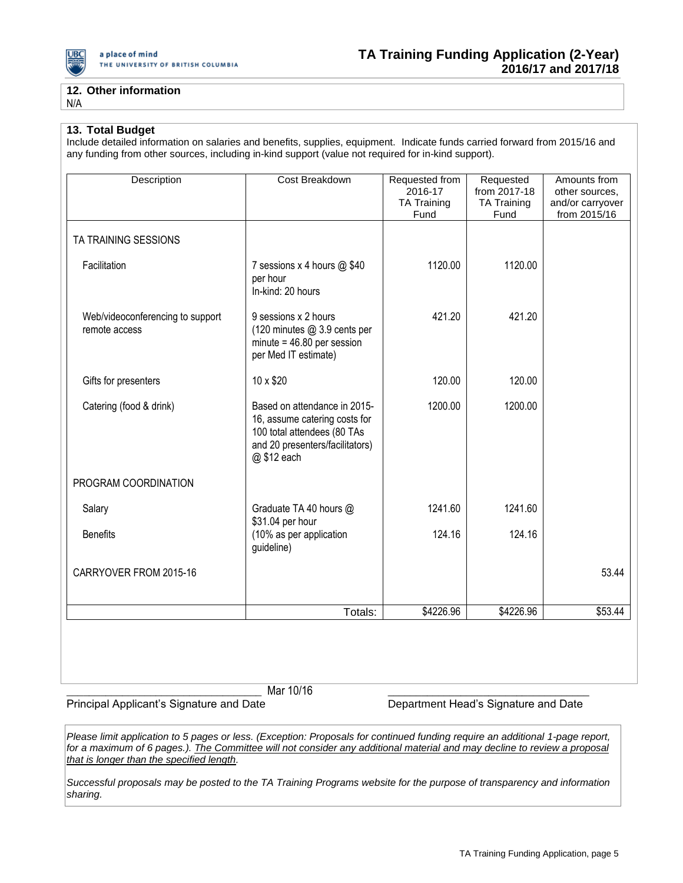

## **12. Other information**

N/A

#### **13. Total Budget**

Include detailed information on salaries and benefits, supplies, equipment. Indicate funds carried forward from 2015/16 and any funding from other sources, including in-kind support (value not required for in-kind support).

| Description                                       | Cost Breakdown                                                                                                                                 | Requested from<br>2016-17<br><b>TA Training</b><br>Fund | Requested<br>from 2017-18<br><b>TA Training</b><br>Fund | Amounts from<br>other sources,<br>and/or carryover<br>from 2015/16 |
|---------------------------------------------------|------------------------------------------------------------------------------------------------------------------------------------------------|---------------------------------------------------------|---------------------------------------------------------|--------------------------------------------------------------------|
| TA TRAINING SESSIONS                              |                                                                                                                                                |                                                         |                                                         |                                                                    |
| Facilitation                                      | 7 sessions x 4 hours @ \$40<br>per hour<br>In-kind: 20 hours                                                                                   | 1120.00                                                 | 1120.00                                                 |                                                                    |
| Web/videoconferencing to support<br>remote access | 9 sessions x 2 hours<br>(120 minutes @ 3.9 cents per<br>$minute = 46.80$ per session<br>per Med IT estimate)                                   | 421.20                                                  | 421.20                                                  |                                                                    |
| Gifts for presenters                              | 10 x \$20                                                                                                                                      | 120.00                                                  | 120.00                                                  |                                                                    |
| Catering (food & drink)                           | Based on attendance in 2015-<br>16, assume catering costs for<br>100 total attendees (80 TAs<br>and 20 presenters/facilitators)<br>@ \$12 each | 1200.00                                                 | 1200.00                                                 |                                                                    |
| PROGRAM COORDINATION                              |                                                                                                                                                |                                                         |                                                         |                                                                    |
| Salary                                            | Graduate TA 40 hours @<br>\$31.04 per hour                                                                                                     | 1241.60                                                 | 1241.60                                                 |                                                                    |
| <b>Benefits</b>                                   | (10% as per application<br>guideline)                                                                                                          | 124.16                                                  | 124.16                                                  |                                                                    |
| CARRYOVER FROM 2015-16                            |                                                                                                                                                |                                                         |                                                         | 53.44                                                              |
|                                                   | Totals:                                                                                                                                        | \$4226.96                                               | \$4226.96                                               | \$53.44                                                            |
|                                                   |                                                                                                                                                |                                                         |                                                         |                                                                    |

\_\_\_\_\_\_\_\_\_\_\_\_\_\_\_\_\_\_\_\_\_\_\_\_\_\_\_\_\_\_\_\_\_\_\_ Mar 10/16 \_\_\_\_\_\_\_\_\_\_\_\_\_\_\_\_\_\_\_\_\_\_\_\_\_\_\_\_\_\_\_\_\_\_\_\_

Principal Applicant's Signature and Date **Department Head's Signature and Date** 

*Please limit application to 5 pages or less. (Exception: Proposals for continued funding require an additional 1-page report, for a maximum of 6 pages.). The Committee will not consider any additional material and may decline to review a proposal that is longer than the specified length.*

*Successful proposals may be posted to the TA Training Programs website for the purpose of transparency and information sharing.*